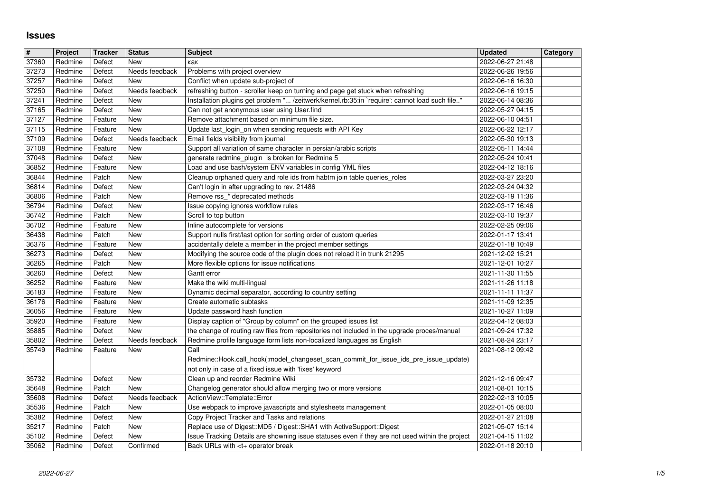## **Issues**

| 37273<br>Redmine<br>Defect<br>Needs feedback<br>Problems with project overview<br>2022-06-26 19:56<br>37257<br>Redmine<br>Defect<br>Conflict when update sub-project of<br>2022-06-16 16:30<br>New<br>37250<br>refreshing button - scroller keep on turning and page get stuck when refreshing<br>2022-06-16 19:15<br>Redmine<br>Defect<br>Needs feedback<br>Installation plugins get problem " /zeitwerk/kernel.rb:35:in `require': cannot load such file"<br>37241<br>2022-06-14 08:36<br>Redmine<br>Defect<br>New<br>37165<br>Can not get anonymous user using User.find<br>2022-05-27 04:15<br>Redmine<br>Defect<br>New<br>37127<br>Remove attachment based on minimum file size.<br>2022-06-10 04:51<br>Redmine<br>Feature<br>New<br>37115<br>Update last_login_on when sending requests with API Key<br>2022-06-22 12:17<br>Redmine<br>Feature<br>New<br>37109<br>Email fields visibility from journal<br>Redmine<br>Defect<br>Needs feedback<br>2022-05-30 19:13<br>37108<br>Support all variation of same character in persian/arabic scripts<br>Redmine<br>Feature<br>2022-05-11 14:44<br>New<br>37048<br>generate redmine_plugin is broken for Redmine 5<br>Redmine<br>Defect<br>New<br>2022-05-24 10:41<br>Load and use bash/system ENV variables in config YML files<br>36852<br>2022-04-12 18:16<br>Redmine<br>Feature<br>New<br>36844<br>Cleanup orphaned query and role ids from habtm join table queries_roles<br>Redmine<br>Patch<br>New<br>2022-03-27 23:20<br>36814<br>Can't login in after upgrading to rev. 21486<br>2022-03-24 04:32<br>Redmine<br>Defect<br>New<br>Remove rss_* deprecated methods<br>36806<br>Redmine<br>Patch<br>New<br>2022-03-19 11:36<br>36794<br>Issue copying ignores workflow rules<br>Redmine<br>Defect<br>New<br>2022-03-17 16:46<br>Scroll to top button<br>36742<br>Redmine<br>Patch<br>New<br>2022-03-10 19:37<br>36702<br>Inline autocomplete for versions<br>Redmine<br>Feature<br>2022-02-25 09:06<br>New<br>36438<br>Patch<br>Support nulls first/last option for sorting order of custom queries<br>Redmine<br>New<br>2022-01-17 13:41<br>36376<br>accidentally delete a member in the project member settings<br>Redmine<br>Feature<br>New<br>2022-01-18 10:49<br>36273<br>Modifying the source code of the plugin does not reload it in trunk 21295<br>2021-12-02 15:21<br>Redmine<br>Defect<br>New<br>Redmine<br>More flexible options for issue notifications<br>2021-12-01 10:27<br>36265<br>Patch<br>New<br>36260<br>Gantt error<br>2021-11-30 11:55<br>Redmine<br>Defect<br>New<br>36252<br>Make the wiki multi-lingual<br>2021-11-26 11:18<br>Redmine<br>Feature<br>New<br>36183<br>Dynamic decimal separator, according to country setting<br>2021-11-11 11:37<br>Redmine<br>Feature<br>New<br>36176<br>Create automatic subtasks<br>Redmine<br>Feature<br>New<br>2021-11-09 12:35<br>36056<br>Update password hash function<br>Redmine<br>2021-10-27 11:09<br>Feature<br>New<br>Display caption of "Group by column" on the grouped issues list<br>35920<br>Redmine<br>Feature<br>New<br>2022-04-12 08:03<br>35885<br>the change of routing raw files from repositories not included in the upgrade proces/manual<br>Redmine<br>Defect<br>New<br>2021-09-24 17:32<br>35802<br>Redmine profile language form lists non-localized languages as English<br>2021-08-24 23:17<br>Redmine<br>Defect<br>Needs feedback<br>Call<br>35749<br>Redmine<br>Feature<br>2021-08-12 09:42<br>New<br>Redmine::Hook.call_hook(:model_changeset_scan_commit_for_issue_ids_pre_issue_update)<br>not only in case of a fixed issue with 'fixes' keyword<br>Redmine<br>New<br>Clean up and reorder Redmine Wiki<br>35732<br>Defect<br>2021-12-16 09:47<br>35648<br>Changelog generator should allow merging two or more versions<br>Redmine<br>Patch<br>New<br>2021-08-01 10:15<br>ActionView::Template::Error<br>35608<br>Redmine<br>Defect<br>Needs feedback<br>2022-02-13 10:05<br>35536<br>Use webpack to improve javascripts and stylesheets management<br>Redmine<br>Patch<br>New<br>2022-01-05 08:00<br>35382<br>Copy Project Tracker and Tasks and relations<br>Redmine<br>Defect<br>New<br>2022-01-27 21:08<br>35217<br>New<br>Replace use of Digest:: MD5 / Digest:: SHA1 with ActiveSupport:: Digest<br>Redmine<br>Patch<br>2021-05-07 15:14<br>35102<br>Redmine<br>Issue Tracking Details are showning issue statuses even if they are not used within the project<br>2021-04-15 11:02<br>Defect<br>New<br>35062<br>Confirmed<br>Back URLs with <t+ break<br="" operator="">2022-01-18 20:10<br/>Redmine<br/>Defect<br/>2022-06-27</t+> | $\overline{\mathbf{H}}$ | Project | <b>Tracker</b> | <b>Status</b> | <b>Subject</b> | <b>Updated</b>   | Category |
|---------------------------------------------------------------------------------------------------------------------------------------------------------------------------------------------------------------------------------------------------------------------------------------------------------------------------------------------------------------------------------------------------------------------------------------------------------------------------------------------------------------------------------------------------------------------------------------------------------------------------------------------------------------------------------------------------------------------------------------------------------------------------------------------------------------------------------------------------------------------------------------------------------------------------------------------------------------------------------------------------------------------------------------------------------------------------------------------------------------------------------------------------------------------------------------------------------------------------------------------------------------------------------------------------------------------------------------------------------------------------------------------------------------------------------------------------------------------------------------------------------------------------------------------------------------------------------------------------------------------------------------------------------------------------------------------------------------------------------------------------------------------------------------------------------------------------------------------------------------------------------------------------------------------------------------------------------------------------------------------------------------------------------------------------------------------------------------------------------------------------------------------------------------------------------------------------------------------------------------------------------------------------------------------------------------------------------------------------------------------------------------------------------------------------------------------------------------------------------------------------------------------------------------------------------------------------------------------------------------------------------------------------------------------------------------------------------------------------------------------------------------------------------------------------------------------------------------------------------------------------------------------------------------------------------------------------------------------------------------------------------------------------------------------------------------------------------------------------------------------------------------------------------------------------------------------------------------------------------------------------------------------------------------------------------------------------------------------------------------------------------------------------------------------------------------------------------------------------------------------------------------------------------------------------------------------------------------------------------------------------------------------------------------------------------------------------------------------------------------------------------------------------------------------------------------------------------------------------------------------------------------------------------------------------------------------------------------------------------------------------------------------------------------------------------------------------------------------------------------------------------------------------------------------------------------------------------------------------------------------------------------------------------------------------------------------------------------------------------------------------------------------------------------------------------------------------------------------------------------------------------------------------------------------------------------------------------------------------|-------------------------|---------|----------------|---------------|----------------|------------------|----------|
|                                                                                                                                                                                                                                                                                                                                                                                                                                                                                                                                                                                                                                                                                                                                                                                                                                                                                                                                                                                                                                                                                                                                                                                                                                                                                                                                                                                                                                                                                                                                                                                                                                                                                                                                                                                                                                                                                                                                                                                                                                                                                                                                                                                                                                                                                                                                                                                                                                                                                                                                                                                                                                                                                                                                                                                                                                                                                                                                                                                                                                                                                                                                                                                                                                                                                                                                                                                                                                                                                                                                                                                                                                                                                                                                                                                                                                                                                                                                                                                                                                                                                                                                                                                                                                                                                                                                                                                                                                                                                                                                                                                                   | 37360                   | Redmine | Defect         | New           | как            | 2022-06-27 21:48 |          |
|                                                                                                                                                                                                                                                                                                                                                                                                                                                                                                                                                                                                                                                                                                                                                                                                                                                                                                                                                                                                                                                                                                                                                                                                                                                                                                                                                                                                                                                                                                                                                                                                                                                                                                                                                                                                                                                                                                                                                                                                                                                                                                                                                                                                                                                                                                                                                                                                                                                                                                                                                                                                                                                                                                                                                                                                                                                                                                                                                                                                                                                                                                                                                                                                                                                                                                                                                                                                                                                                                                                                                                                                                                                                                                                                                                                                                                                                                                                                                                                                                                                                                                                                                                                                                                                                                                                                                                                                                                                                                                                                                                                                   |                         |         |                |               |                |                  |          |
|                                                                                                                                                                                                                                                                                                                                                                                                                                                                                                                                                                                                                                                                                                                                                                                                                                                                                                                                                                                                                                                                                                                                                                                                                                                                                                                                                                                                                                                                                                                                                                                                                                                                                                                                                                                                                                                                                                                                                                                                                                                                                                                                                                                                                                                                                                                                                                                                                                                                                                                                                                                                                                                                                                                                                                                                                                                                                                                                                                                                                                                                                                                                                                                                                                                                                                                                                                                                                                                                                                                                                                                                                                                                                                                                                                                                                                                                                                                                                                                                                                                                                                                                                                                                                                                                                                                                                                                                                                                                                                                                                                                                   |                         |         |                |               |                |                  |          |
|                                                                                                                                                                                                                                                                                                                                                                                                                                                                                                                                                                                                                                                                                                                                                                                                                                                                                                                                                                                                                                                                                                                                                                                                                                                                                                                                                                                                                                                                                                                                                                                                                                                                                                                                                                                                                                                                                                                                                                                                                                                                                                                                                                                                                                                                                                                                                                                                                                                                                                                                                                                                                                                                                                                                                                                                                                                                                                                                                                                                                                                                                                                                                                                                                                                                                                                                                                                                                                                                                                                                                                                                                                                                                                                                                                                                                                                                                                                                                                                                                                                                                                                                                                                                                                                                                                                                                                                                                                                                                                                                                                                                   |                         |         |                |               |                |                  |          |
|                                                                                                                                                                                                                                                                                                                                                                                                                                                                                                                                                                                                                                                                                                                                                                                                                                                                                                                                                                                                                                                                                                                                                                                                                                                                                                                                                                                                                                                                                                                                                                                                                                                                                                                                                                                                                                                                                                                                                                                                                                                                                                                                                                                                                                                                                                                                                                                                                                                                                                                                                                                                                                                                                                                                                                                                                                                                                                                                                                                                                                                                                                                                                                                                                                                                                                                                                                                                                                                                                                                                                                                                                                                                                                                                                                                                                                                                                                                                                                                                                                                                                                                                                                                                                                                                                                                                                                                                                                                                                                                                                                                                   |                         |         |                |               |                |                  |          |
|                                                                                                                                                                                                                                                                                                                                                                                                                                                                                                                                                                                                                                                                                                                                                                                                                                                                                                                                                                                                                                                                                                                                                                                                                                                                                                                                                                                                                                                                                                                                                                                                                                                                                                                                                                                                                                                                                                                                                                                                                                                                                                                                                                                                                                                                                                                                                                                                                                                                                                                                                                                                                                                                                                                                                                                                                                                                                                                                                                                                                                                                                                                                                                                                                                                                                                                                                                                                                                                                                                                                                                                                                                                                                                                                                                                                                                                                                                                                                                                                                                                                                                                                                                                                                                                                                                                                                                                                                                                                                                                                                                                                   |                         |         |                |               |                |                  |          |
|                                                                                                                                                                                                                                                                                                                                                                                                                                                                                                                                                                                                                                                                                                                                                                                                                                                                                                                                                                                                                                                                                                                                                                                                                                                                                                                                                                                                                                                                                                                                                                                                                                                                                                                                                                                                                                                                                                                                                                                                                                                                                                                                                                                                                                                                                                                                                                                                                                                                                                                                                                                                                                                                                                                                                                                                                                                                                                                                                                                                                                                                                                                                                                                                                                                                                                                                                                                                                                                                                                                                                                                                                                                                                                                                                                                                                                                                                                                                                                                                                                                                                                                                                                                                                                                                                                                                                                                                                                                                                                                                                                                                   |                         |         |                |               |                |                  |          |
|                                                                                                                                                                                                                                                                                                                                                                                                                                                                                                                                                                                                                                                                                                                                                                                                                                                                                                                                                                                                                                                                                                                                                                                                                                                                                                                                                                                                                                                                                                                                                                                                                                                                                                                                                                                                                                                                                                                                                                                                                                                                                                                                                                                                                                                                                                                                                                                                                                                                                                                                                                                                                                                                                                                                                                                                                                                                                                                                                                                                                                                                                                                                                                                                                                                                                                                                                                                                                                                                                                                                                                                                                                                                                                                                                                                                                                                                                                                                                                                                                                                                                                                                                                                                                                                                                                                                                                                                                                                                                                                                                                                                   |                         |         |                |               |                |                  |          |
|                                                                                                                                                                                                                                                                                                                                                                                                                                                                                                                                                                                                                                                                                                                                                                                                                                                                                                                                                                                                                                                                                                                                                                                                                                                                                                                                                                                                                                                                                                                                                                                                                                                                                                                                                                                                                                                                                                                                                                                                                                                                                                                                                                                                                                                                                                                                                                                                                                                                                                                                                                                                                                                                                                                                                                                                                                                                                                                                                                                                                                                                                                                                                                                                                                                                                                                                                                                                                                                                                                                                                                                                                                                                                                                                                                                                                                                                                                                                                                                                                                                                                                                                                                                                                                                                                                                                                                                                                                                                                                                                                                                                   |                         |         |                |               |                |                  |          |
|                                                                                                                                                                                                                                                                                                                                                                                                                                                                                                                                                                                                                                                                                                                                                                                                                                                                                                                                                                                                                                                                                                                                                                                                                                                                                                                                                                                                                                                                                                                                                                                                                                                                                                                                                                                                                                                                                                                                                                                                                                                                                                                                                                                                                                                                                                                                                                                                                                                                                                                                                                                                                                                                                                                                                                                                                                                                                                                                                                                                                                                                                                                                                                                                                                                                                                                                                                                                                                                                                                                                                                                                                                                                                                                                                                                                                                                                                                                                                                                                                                                                                                                                                                                                                                                                                                                                                                                                                                                                                                                                                                                                   |                         |         |                |               |                |                  |          |
|                                                                                                                                                                                                                                                                                                                                                                                                                                                                                                                                                                                                                                                                                                                                                                                                                                                                                                                                                                                                                                                                                                                                                                                                                                                                                                                                                                                                                                                                                                                                                                                                                                                                                                                                                                                                                                                                                                                                                                                                                                                                                                                                                                                                                                                                                                                                                                                                                                                                                                                                                                                                                                                                                                                                                                                                                                                                                                                                                                                                                                                                                                                                                                                                                                                                                                                                                                                                                                                                                                                                                                                                                                                                                                                                                                                                                                                                                                                                                                                                                                                                                                                                                                                                                                                                                                                                                                                                                                                                                                                                                                                                   |                         |         |                |               |                |                  |          |
|                                                                                                                                                                                                                                                                                                                                                                                                                                                                                                                                                                                                                                                                                                                                                                                                                                                                                                                                                                                                                                                                                                                                                                                                                                                                                                                                                                                                                                                                                                                                                                                                                                                                                                                                                                                                                                                                                                                                                                                                                                                                                                                                                                                                                                                                                                                                                                                                                                                                                                                                                                                                                                                                                                                                                                                                                                                                                                                                                                                                                                                                                                                                                                                                                                                                                                                                                                                                                                                                                                                                                                                                                                                                                                                                                                                                                                                                                                                                                                                                                                                                                                                                                                                                                                                                                                                                                                                                                                                                                                                                                                                                   |                         |         |                |               |                |                  |          |
|                                                                                                                                                                                                                                                                                                                                                                                                                                                                                                                                                                                                                                                                                                                                                                                                                                                                                                                                                                                                                                                                                                                                                                                                                                                                                                                                                                                                                                                                                                                                                                                                                                                                                                                                                                                                                                                                                                                                                                                                                                                                                                                                                                                                                                                                                                                                                                                                                                                                                                                                                                                                                                                                                                                                                                                                                                                                                                                                                                                                                                                                                                                                                                                                                                                                                                                                                                                                                                                                                                                                                                                                                                                                                                                                                                                                                                                                                                                                                                                                                                                                                                                                                                                                                                                                                                                                                                                                                                                                                                                                                                                                   |                         |         |                |               |                |                  |          |
|                                                                                                                                                                                                                                                                                                                                                                                                                                                                                                                                                                                                                                                                                                                                                                                                                                                                                                                                                                                                                                                                                                                                                                                                                                                                                                                                                                                                                                                                                                                                                                                                                                                                                                                                                                                                                                                                                                                                                                                                                                                                                                                                                                                                                                                                                                                                                                                                                                                                                                                                                                                                                                                                                                                                                                                                                                                                                                                                                                                                                                                                                                                                                                                                                                                                                                                                                                                                                                                                                                                                                                                                                                                                                                                                                                                                                                                                                                                                                                                                                                                                                                                                                                                                                                                                                                                                                                                                                                                                                                                                                                                                   |                         |         |                |               |                |                  |          |
|                                                                                                                                                                                                                                                                                                                                                                                                                                                                                                                                                                                                                                                                                                                                                                                                                                                                                                                                                                                                                                                                                                                                                                                                                                                                                                                                                                                                                                                                                                                                                                                                                                                                                                                                                                                                                                                                                                                                                                                                                                                                                                                                                                                                                                                                                                                                                                                                                                                                                                                                                                                                                                                                                                                                                                                                                                                                                                                                                                                                                                                                                                                                                                                                                                                                                                                                                                                                                                                                                                                                                                                                                                                                                                                                                                                                                                                                                                                                                                                                                                                                                                                                                                                                                                                                                                                                                                                                                                                                                                                                                                                                   |                         |         |                |               |                |                  |          |
|                                                                                                                                                                                                                                                                                                                                                                                                                                                                                                                                                                                                                                                                                                                                                                                                                                                                                                                                                                                                                                                                                                                                                                                                                                                                                                                                                                                                                                                                                                                                                                                                                                                                                                                                                                                                                                                                                                                                                                                                                                                                                                                                                                                                                                                                                                                                                                                                                                                                                                                                                                                                                                                                                                                                                                                                                                                                                                                                                                                                                                                                                                                                                                                                                                                                                                                                                                                                                                                                                                                                                                                                                                                                                                                                                                                                                                                                                                                                                                                                                                                                                                                                                                                                                                                                                                                                                                                                                                                                                                                                                                                                   |                         |         |                |               |                |                  |          |
|                                                                                                                                                                                                                                                                                                                                                                                                                                                                                                                                                                                                                                                                                                                                                                                                                                                                                                                                                                                                                                                                                                                                                                                                                                                                                                                                                                                                                                                                                                                                                                                                                                                                                                                                                                                                                                                                                                                                                                                                                                                                                                                                                                                                                                                                                                                                                                                                                                                                                                                                                                                                                                                                                                                                                                                                                                                                                                                                                                                                                                                                                                                                                                                                                                                                                                                                                                                                                                                                                                                                                                                                                                                                                                                                                                                                                                                                                                                                                                                                                                                                                                                                                                                                                                                                                                                                                                                                                                                                                                                                                                                                   |                         |         |                |               |                |                  |          |
|                                                                                                                                                                                                                                                                                                                                                                                                                                                                                                                                                                                                                                                                                                                                                                                                                                                                                                                                                                                                                                                                                                                                                                                                                                                                                                                                                                                                                                                                                                                                                                                                                                                                                                                                                                                                                                                                                                                                                                                                                                                                                                                                                                                                                                                                                                                                                                                                                                                                                                                                                                                                                                                                                                                                                                                                                                                                                                                                                                                                                                                                                                                                                                                                                                                                                                                                                                                                                                                                                                                                                                                                                                                                                                                                                                                                                                                                                                                                                                                                                                                                                                                                                                                                                                                                                                                                                                                                                                                                                                                                                                                                   |                         |         |                |               |                |                  |          |
|                                                                                                                                                                                                                                                                                                                                                                                                                                                                                                                                                                                                                                                                                                                                                                                                                                                                                                                                                                                                                                                                                                                                                                                                                                                                                                                                                                                                                                                                                                                                                                                                                                                                                                                                                                                                                                                                                                                                                                                                                                                                                                                                                                                                                                                                                                                                                                                                                                                                                                                                                                                                                                                                                                                                                                                                                                                                                                                                                                                                                                                                                                                                                                                                                                                                                                                                                                                                                                                                                                                                                                                                                                                                                                                                                                                                                                                                                                                                                                                                                                                                                                                                                                                                                                                                                                                                                                                                                                                                                                                                                                                                   |                         |         |                |               |                |                  |          |
|                                                                                                                                                                                                                                                                                                                                                                                                                                                                                                                                                                                                                                                                                                                                                                                                                                                                                                                                                                                                                                                                                                                                                                                                                                                                                                                                                                                                                                                                                                                                                                                                                                                                                                                                                                                                                                                                                                                                                                                                                                                                                                                                                                                                                                                                                                                                                                                                                                                                                                                                                                                                                                                                                                                                                                                                                                                                                                                                                                                                                                                                                                                                                                                                                                                                                                                                                                                                                                                                                                                                                                                                                                                                                                                                                                                                                                                                                                                                                                                                                                                                                                                                                                                                                                                                                                                                                                                                                                                                                                                                                                                                   |                         |         |                |               |                |                  |          |
|                                                                                                                                                                                                                                                                                                                                                                                                                                                                                                                                                                                                                                                                                                                                                                                                                                                                                                                                                                                                                                                                                                                                                                                                                                                                                                                                                                                                                                                                                                                                                                                                                                                                                                                                                                                                                                                                                                                                                                                                                                                                                                                                                                                                                                                                                                                                                                                                                                                                                                                                                                                                                                                                                                                                                                                                                                                                                                                                                                                                                                                                                                                                                                                                                                                                                                                                                                                                                                                                                                                                                                                                                                                                                                                                                                                                                                                                                                                                                                                                                                                                                                                                                                                                                                                                                                                                                                                                                                                                                                                                                                                                   |                         |         |                |               |                |                  |          |
|                                                                                                                                                                                                                                                                                                                                                                                                                                                                                                                                                                                                                                                                                                                                                                                                                                                                                                                                                                                                                                                                                                                                                                                                                                                                                                                                                                                                                                                                                                                                                                                                                                                                                                                                                                                                                                                                                                                                                                                                                                                                                                                                                                                                                                                                                                                                                                                                                                                                                                                                                                                                                                                                                                                                                                                                                                                                                                                                                                                                                                                                                                                                                                                                                                                                                                                                                                                                                                                                                                                                                                                                                                                                                                                                                                                                                                                                                                                                                                                                                                                                                                                                                                                                                                                                                                                                                                                                                                                                                                                                                                                                   |                         |         |                |               |                |                  |          |
|                                                                                                                                                                                                                                                                                                                                                                                                                                                                                                                                                                                                                                                                                                                                                                                                                                                                                                                                                                                                                                                                                                                                                                                                                                                                                                                                                                                                                                                                                                                                                                                                                                                                                                                                                                                                                                                                                                                                                                                                                                                                                                                                                                                                                                                                                                                                                                                                                                                                                                                                                                                                                                                                                                                                                                                                                                                                                                                                                                                                                                                                                                                                                                                                                                                                                                                                                                                                                                                                                                                                                                                                                                                                                                                                                                                                                                                                                                                                                                                                                                                                                                                                                                                                                                                                                                                                                                                                                                                                                                                                                                                                   |                         |         |                |               |                |                  |          |
|                                                                                                                                                                                                                                                                                                                                                                                                                                                                                                                                                                                                                                                                                                                                                                                                                                                                                                                                                                                                                                                                                                                                                                                                                                                                                                                                                                                                                                                                                                                                                                                                                                                                                                                                                                                                                                                                                                                                                                                                                                                                                                                                                                                                                                                                                                                                                                                                                                                                                                                                                                                                                                                                                                                                                                                                                                                                                                                                                                                                                                                                                                                                                                                                                                                                                                                                                                                                                                                                                                                                                                                                                                                                                                                                                                                                                                                                                                                                                                                                                                                                                                                                                                                                                                                                                                                                                                                                                                                                                                                                                                                                   |                         |         |                |               |                |                  |          |
|                                                                                                                                                                                                                                                                                                                                                                                                                                                                                                                                                                                                                                                                                                                                                                                                                                                                                                                                                                                                                                                                                                                                                                                                                                                                                                                                                                                                                                                                                                                                                                                                                                                                                                                                                                                                                                                                                                                                                                                                                                                                                                                                                                                                                                                                                                                                                                                                                                                                                                                                                                                                                                                                                                                                                                                                                                                                                                                                                                                                                                                                                                                                                                                                                                                                                                                                                                                                                                                                                                                                                                                                                                                                                                                                                                                                                                                                                                                                                                                                                                                                                                                                                                                                                                                                                                                                                                                                                                                                                                                                                                                                   |                         |         |                |               |                |                  |          |
|                                                                                                                                                                                                                                                                                                                                                                                                                                                                                                                                                                                                                                                                                                                                                                                                                                                                                                                                                                                                                                                                                                                                                                                                                                                                                                                                                                                                                                                                                                                                                                                                                                                                                                                                                                                                                                                                                                                                                                                                                                                                                                                                                                                                                                                                                                                                                                                                                                                                                                                                                                                                                                                                                                                                                                                                                                                                                                                                                                                                                                                                                                                                                                                                                                                                                                                                                                                                                                                                                                                                                                                                                                                                                                                                                                                                                                                                                                                                                                                                                                                                                                                                                                                                                                                                                                                                                                                                                                                                                                                                                                                                   |                         |         |                |               |                |                  |          |
|                                                                                                                                                                                                                                                                                                                                                                                                                                                                                                                                                                                                                                                                                                                                                                                                                                                                                                                                                                                                                                                                                                                                                                                                                                                                                                                                                                                                                                                                                                                                                                                                                                                                                                                                                                                                                                                                                                                                                                                                                                                                                                                                                                                                                                                                                                                                                                                                                                                                                                                                                                                                                                                                                                                                                                                                                                                                                                                                                                                                                                                                                                                                                                                                                                                                                                                                                                                                                                                                                                                                                                                                                                                                                                                                                                                                                                                                                                                                                                                                                                                                                                                                                                                                                                                                                                                                                                                                                                                                                                                                                                                                   |                         |         |                |               |                |                  |          |
|                                                                                                                                                                                                                                                                                                                                                                                                                                                                                                                                                                                                                                                                                                                                                                                                                                                                                                                                                                                                                                                                                                                                                                                                                                                                                                                                                                                                                                                                                                                                                                                                                                                                                                                                                                                                                                                                                                                                                                                                                                                                                                                                                                                                                                                                                                                                                                                                                                                                                                                                                                                                                                                                                                                                                                                                                                                                                                                                                                                                                                                                                                                                                                                                                                                                                                                                                                                                                                                                                                                                                                                                                                                                                                                                                                                                                                                                                                                                                                                                                                                                                                                                                                                                                                                                                                                                                                                                                                                                                                                                                                                                   |                         |         |                |               |                |                  |          |
|                                                                                                                                                                                                                                                                                                                                                                                                                                                                                                                                                                                                                                                                                                                                                                                                                                                                                                                                                                                                                                                                                                                                                                                                                                                                                                                                                                                                                                                                                                                                                                                                                                                                                                                                                                                                                                                                                                                                                                                                                                                                                                                                                                                                                                                                                                                                                                                                                                                                                                                                                                                                                                                                                                                                                                                                                                                                                                                                                                                                                                                                                                                                                                                                                                                                                                                                                                                                                                                                                                                                                                                                                                                                                                                                                                                                                                                                                                                                                                                                                                                                                                                                                                                                                                                                                                                                                                                                                                                                                                                                                                                                   |                         |         |                |               |                |                  |          |
|                                                                                                                                                                                                                                                                                                                                                                                                                                                                                                                                                                                                                                                                                                                                                                                                                                                                                                                                                                                                                                                                                                                                                                                                                                                                                                                                                                                                                                                                                                                                                                                                                                                                                                                                                                                                                                                                                                                                                                                                                                                                                                                                                                                                                                                                                                                                                                                                                                                                                                                                                                                                                                                                                                                                                                                                                                                                                                                                                                                                                                                                                                                                                                                                                                                                                                                                                                                                                                                                                                                                                                                                                                                                                                                                                                                                                                                                                                                                                                                                                                                                                                                                                                                                                                                                                                                                                                                                                                                                                                                                                                                                   |                         |         |                |               |                |                  |          |
|                                                                                                                                                                                                                                                                                                                                                                                                                                                                                                                                                                                                                                                                                                                                                                                                                                                                                                                                                                                                                                                                                                                                                                                                                                                                                                                                                                                                                                                                                                                                                                                                                                                                                                                                                                                                                                                                                                                                                                                                                                                                                                                                                                                                                                                                                                                                                                                                                                                                                                                                                                                                                                                                                                                                                                                                                                                                                                                                                                                                                                                                                                                                                                                                                                                                                                                                                                                                                                                                                                                                                                                                                                                                                                                                                                                                                                                                                                                                                                                                                                                                                                                                                                                                                                                                                                                                                                                                                                                                                                                                                                                                   |                         |         |                |               |                |                  |          |
|                                                                                                                                                                                                                                                                                                                                                                                                                                                                                                                                                                                                                                                                                                                                                                                                                                                                                                                                                                                                                                                                                                                                                                                                                                                                                                                                                                                                                                                                                                                                                                                                                                                                                                                                                                                                                                                                                                                                                                                                                                                                                                                                                                                                                                                                                                                                                                                                                                                                                                                                                                                                                                                                                                                                                                                                                                                                                                                                                                                                                                                                                                                                                                                                                                                                                                                                                                                                                                                                                                                                                                                                                                                                                                                                                                                                                                                                                                                                                                                                                                                                                                                                                                                                                                                                                                                                                                                                                                                                                                                                                                                                   |                         |         |                |               |                |                  |          |
|                                                                                                                                                                                                                                                                                                                                                                                                                                                                                                                                                                                                                                                                                                                                                                                                                                                                                                                                                                                                                                                                                                                                                                                                                                                                                                                                                                                                                                                                                                                                                                                                                                                                                                                                                                                                                                                                                                                                                                                                                                                                                                                                                                                                                                                                                                                                                                                                                                                                                                                                                                                                                                                                                                                                                                                                                                                                                                                                                                                                                                                                                                                                                                                                                                                                                                                                                                                                                                                                                                                                                                                                                                                                                                                                                                                                                                                                                                                                                                                                                                                                                                                                                                                                                                                                                                                                                                                                                                                                                                                                                                                                   |                         |         |                |               |                |                  |          |
|                                                                                                                                                                                                                                                                                                                                                                                                                                                                                                                                                                                                                                                                                                                                                                                                                                                                                                                                                                                                                                                                                                                                                                                                                                                                                                                                                                                                                                                                                                                                                                                                                                                                                                                                                                                                                                                                                                                                                                                                                                                                                                                                                                                                                                                                                                                                                                                                                                                                                                                                                                                                                                                                                                                                                                                                                                                                                                                                                                                                                                                                                                                                                                                                                                                                                                                                                                                                                                                                                                                                                                                                                                                                                                                                                                                                                                                                                                                                                                                                                                                                                                                                                                                                                                                                                                                                                                                                                                                                                                                                                                                                   |                         |         |                |               |                |                  |          |
|                                                                                                                                                                                                                                                                                                                                                                                                                                                                                                                                                                                                                                                                                                                                                                                                                                                                                                                                                                                                                                                                                                                                                                                                                                                                                                                                                                                                                                                                                                                                                                                                                                                                                                                                                                                                                                                                                                                                                                                                                                                                                                                                                                                                                                                                                                                                                                                                                                                                                                                                                                                                                                                                                                                                                                                                                                                                                                                                                                                                                                                                                                                                                                                                                                                                                                                                                                                                                                                                                                                                                                                                                                                                                                                                                                                                                                                                                                                                                                                                                                                                                                                                                                                                                                                                                                                                                                                                                                                                                                                                                                                                   |                         |         |                |               |                |                  |          |
|                                                                                                                                                                                                                                                                                                                                                                                                                                                                                                                                                                                                                                                                                                                                                                                                                                                                                                                                                                                                                                                                                                                                                                                                                                                                                                                                                                                                                                                                                                                                                                                                                                                                                                                                                                                                                                                                                                                                                                                                                                                                                                                                                                                                                                                                                                                                                                                                                                                                                                                                                                                                                                                                                                                                                                                                                                                                                                                                                                                                                                                                                                                                                                                                                                                                                                                                                                                                                                                                                                                                                                                                                                                                                                                                                                                                                                                                                                                                                                                                                                                                                                                                                                                                                                                                                                                                                                                                                                                                                                                                                                                                   |                         |         |                |               |                |                  |          |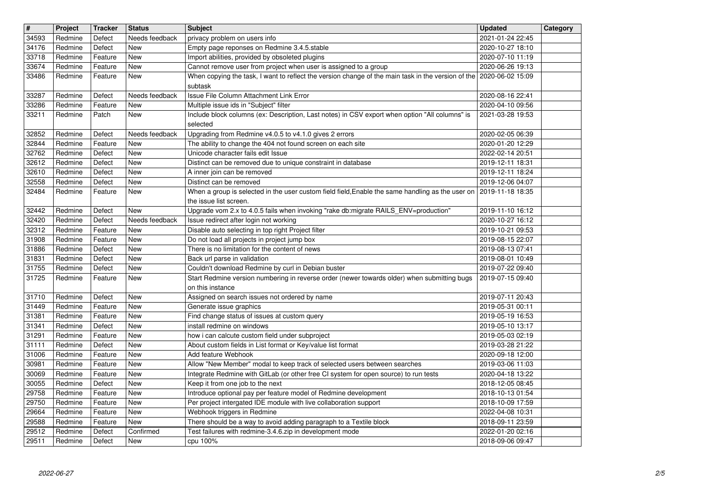| $\overline{\mathbf{H}}$ | Project            | <b>Tracker</b>     | <b>Status</b>            | <b>Subject</b>                                                                                                                                                                          | <b>Updated</b>                       | Category |
|-------------------------|--------------------|--------------------|--------------------------|-----------------------------------------------------------------------------------------------------------------------------------------------------------------------------------------|--------------------------------------|----------|
| 34593<br>34176          | Redmine<br>Redmine | Defect<br>Defect   | Needs feedback<br>New    | privacy problem on users info<br>Empty page reponses on Redmine 3.4.5.stable                                                                                                            | 2021-01-24 22:45<br>2020-10-27 18:10 |          |
| 33718                   | Redmine            | Feature            | New                      | Import abilities, provided by obsoleted plugins                                                                                                                                         | 2020-07-10 11:19                     |          |
| 33674<br>33486          | Redmine<br>Redmine | Feature<br>Feature | New<br>New               | Cannot remove user from project when user is assigned to a group<br>When copying the task, I want to reflect the version change of the main task in the version of the 2020-06-02 15:09 | 2020-06-26 19:13                     |          |
|                         |                    |                    |                          | subtask                                                                                                                                                                                 |                                      |          |
| 33287<br>33286          | Redmine<br>Redmine | Defect<br>Feature  | Needs feedback<br>New    | Issue File Column Attachment Link Error<br>Multiple issue ids in "Subject" filter                                                                                                       | 2020-08-16 22:41<br>2020-04-10 09:56 |          |
| 33211                   | Redmine            | Patch              | New                      | Include block columns (ex: Description, Last notes) in CSV export when option "All columns" is                                                                                          | 2021-03-28 19:53                     |          |
| 32852                   | Redmine            | Defect             | Needs feedback           | selected<br>Upgrading from Redmine v4.0.5 to v4.1.0 gives 2 errors                                                                                                                      | 2020-02-05 06:39                     |          |
| 32844                   | Redmine            | Feature            | <b>New</b>               | The ability to change the 404 not found screen on each site                                                                                                                             | 2020-01-20 12:29                     |          |
| 32762                   | Redmine            | Defect             | New                      | Unicode character fails edit Issue                                                                                                                                                      | 2022-02-14 20:51                     |          |
| 32612<br>32610          | Redmine<br>Redmine | Defect<br>Defect   | New<br>New               | Distinct can be removed due to unique constraint in database<br>A inner join can be removed                                                                                             | 2019-12-11 18:31<br>2019-12-11 18:24 |          |
| 32558                   | Redmine            | Defect             | New                      | Distinct can be removed                                                                                                                                                                 | 2019-12-06 04:07                     |          |
| 32484                   | Redmine            | Feature            | New                      | When a group is selected in the user custom field field, Enable the same handling as the user on<br>the issue list screen.                                                              | 2019-11-18 18:35                     |          |
| 32442                   | Redmine            | Defect             | New                      | Upgrade vom 2.x to 4.0.5 fails when invoking "rake db:migrate RAILS_ENV=production"                                                                                                     | 2019-11-10 16:12                     |          |
| 32420<br>32312          | Redmine<br>Redmine | Defect<br>Feature  | Needs feedback<br>New    | Issue redirect after login not working<br>Disable auto selecting in top right Project filter                                                                                            | 2020-10-27 16:12<br>2019-10-21 09:53 |          |
| 31908                   | Redmine            | Feature            | <b>New</b>               | Do not load all projects in project jump box                                                                                                                                            | 2019-08-15 22:07                     |          |
| 31886<br>31831          | Redmine<br>Redmine | Defect<br>Defect   | New<br>New               | There is no limitation for the content of news<br>Back url parse in validation                                                                                                          | 2019-08-13 07:41<br>2019-08-01 10:49 |          |
| 31755                   | Redmine            | Defect             | New                      | Couldn't download Redmine by curl in Debian buster                                                                                                                                      | 2019-07-22 09:40                     |          |
| 31725                   | Redmine            | Feature            | New                      | Start Redmine version numbering in reverse order (newer towards older) when submitting bugs<br>on this instance                                                                         | 2019-07-15 09:40                     |          |
| 31710                   | Redmine            | Defect             | New                      | Assigned on search issues not ordered by name                                                                                                                                           | 2019-07-11 20:43                     |          |
| 31449                   | Redmine            | Feature            | New                      | Generate issue graphics                                                                                                                                                                 | 2019-05-31 00:11                     |          |
| 31381<br>31341          | Redmine<br>Redmine | Feature<br>Defect  | <b>New</b><br><b>New</b> | Find change status of issues at custom query<br>install redmine on windows                                                                                                              | 2019-05-19 16:53<br>2019-05-10 13:17 |          |
| 31291                   | Redmine            | Feature            | <b>New</b>               | how i can calcute custom field under subproject                                                                                                                                         | 2019-05-03 02:19                     |          |
| 31111<br>31006          | Redmine<br>Redmine | Defect<br>Feature  | New<br>New               | About custom fields in List format or Key/value list format<br>Add feature Webhook                                                                                                      | 2019-03-28 21:22<br>2020-09-18 12:00 |          |
| 30981                   | Redmine            | Feature            | New                      | Allow "New Member" modal to keep track of selected users between searches                                                                                                               | 2019-03-06 11:03                     |          |
| 30069<br>30055          | Redmine<br>Redmine | Feature<br>Defect  | New<br>New               | Integrate Redmine with GitLab (or other free CI system for open source) to run tests<br>Keep it from one job to the next                                                                | 2020-04-18 13:22<br>2018-12-05 08:45 |          |
| 29758                   | Redmine            | Feature            | New                      | Introduce optional pay per feature model of Redmine development                                                                                                                         | 2018-10-13 01:54                     |          |
| 29750<br>29664          | Redmine<br>Redmine | Feature<br>Feature | New<br>New               | Per project intergated IDE module with live collaboration support<br>Webhook triggers in Redmine                                                                                        | 2018-10-09 17:59<br>2022-04-08 10:31 |          |
| 29588                   | Redmine            | Feature            | New                      | There should be a way to avoid adding paragraph to a Textile block                                                                                                                      | 2018-09-11 23:59                     |          |
| 29512<br>29511          | Redmine<br>Redmine | Defect<br>Defect   | Confirmed<br>New         | Test failures with redmine-3.4.6.zip in development mode<br>cpu 100%                                                                                                                    | 2022-01-20 02:16<br>2018-09-06 09:47 |          |
|                         |                    |                    |                          |                                                                                                                                                                                         |                                      |          |
|                         |                    |                    |                          |                                                                                                                                                                                         |                                      |          |
|                         |                    |                    |                          |                                                                                                                                                                                         |                                      |          |
|                         |                    |                    |                          |                                                                                                                                                                                         |                                      |          |
|                         |                    |                    |                          |                                                                                                                                                                                         |                                      |          |
|                         |                    |                    |                          |                                                                                                                                                                                         |                                      |          |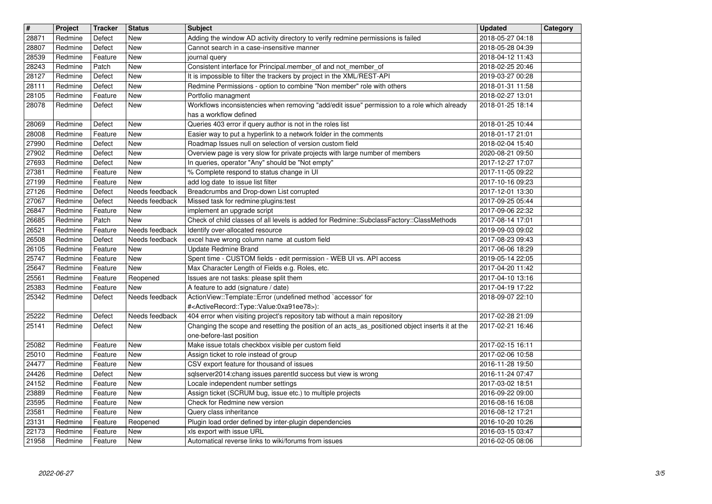| $\overline{\mathbf{H}}$ | Project            | <b>Tracker</b>     | <b>Status</b>            | <b>Subject</b>                                                                                                                                  | <b>Updated</b>                       | Category |
|-------------------------|--------------------|--------------------|--------------------------|-------------------------------------------------------------------------------------------------------------------------------------------------|--------------------------------------|----------|
| 28871                   | Redmine            | Defect             | New                      | Adding the window AD activity directory to verify redmine permissions is failed                                                                 | 2018-05-27 04:18                     |          |
| 28807                   | Redmine            | Defect             | New                      | Cannot search in a case-insensitive manner                                                                                                      | 2018-05-28 04:39                     |          |
| 28539<br>28243          | Redmine<br>Redmine | Feature<br>Patch   | New<br>New               | journal query<br>Consistent interface for Principal.member_of and not_member_of                                                                 | 2018-04-12 11:43<br>2018-02-25 20:46 |          |
| 28127                   | Redmine            | Defect             | New                      | It is impossible to filter the trackers by project in the XML/REST-API                                                                          | 2019-03-27 00:28                     |          |
| 28111                   | Redmine            | Defect             | New                      | Redmine Permissions - option to combine "Non member" role with others                                                                           | 2018-01-31 11:58                     |          |
| 28105                   | Redmine            | Feature            | New                      | Portfolio managment                                                                                                                             | 2018-02-27 13:01                     |          |
| 28078                   | Redmine            | Defect             | New                      | Workflows inconsistencies when removing "add/edit issue" permission to a role which already<br>has a workflow defined                           | 2018-01-25 18:14                     |          |
| 28069                   | Redmine            | Defect             | New                      | Queries 403 error if query author is not in the roles list                                                                                      | 2018-01-25 10:44                     |          |
| 28008                   | Redmine            | Feature            | New                      | Easier way to put a hyperlink to a network folder in the comments                                                                               | 2018-01-17 21:01                     |          |
| 27990                   | Redmine            | Defect             | New                      | Roadmap Issues null on selection of version custom field                                                                                        | 2018-02-04 15:40                     |          |
| 27902<br>27693          | Redmine<br>Redmine | Defect<br>Defect   | New<br>New               | Overview page is very slow for private projects with large number of members<br>In queries, operator "Any" should be "Not empty"                | 2020-08-21 09:50<br>2017-12-27 17:07 |          |
| 27381                   | Redmine            | Feature            | New                      | % Complete respond to status change in UI                                                                                                       | 2017-11-05 09:22                     |          |
| 27199                   | Redmine            | Feature            | New                      | add log date to issue list filter                                                                                                               | 2017-10-16 09:23                     |          |
| 27126                   | Redmine            | Defect             | Needs feedback           | Breadcrumbs and Drop-down List corrupted                                                                                                        | 2017-12-01 13:30                     |          |
| 27067<br>26847          | Redmine<br>Redmine | Defect<br>Feature  | Needs feedback<br>New    | Missed task for redmine:plugins:test<br>implement an upgrade script                                                                             | 2017-09-25 05:44<br>2017-09-06 22:32 |          |
| 26685                   | Redmine            | Patch              | New                      | Check of child classes of all levels is added for Redmine::SubclassFactory::ClassMethods                                                        | 2017-08-14 17:01                     |          |
| 26521                   | Redmine            | Feature            | Needs feedback           | Identify over-allocated resource                                                                                                                | 2019-09-03 09:02                     |          |
| 26508                   | Redmine            | Defect             | Needs feedback           | excel have wrong column name at custom field                                                                                                    | 2017-08-23 09:43                     |          |
| 26105<br>25747          | Redmine<br>Redmine | Feature<br>Feature | New<br>New               | Update Redmine Brand<br>Spent time - CUSTOM fields - edit permission - WEB UI vs. API access                                                    | 2017-06-06 18:29<br>2019-05-14 22:05 |          |
| 25647                   | Redmine            | Feature            | New                      | Max Character Length of Fields e.g. Roles, etc.                                                                                                 | 2017-04-20 11:42                     |          |
| 25561                   | Redmine            | Feature            | Reopened                 | Issues are not tasks: please split them                                                                                                         | 2017-04-10 13:16                     |          |
| 25383                   | Redmine            | Feature            | New                      | A feature to add (signature / date)                                                                                                             | 2017-04-19 17:22                     |          |
| 25342                   | Redmine            | Defect             | Needs feedback           | ActionView::Template::Error (undefined method `accessor' for<br># <activerecord::type::value:0xa91ee78>):</activerecord::type::value:0xa91ee78> | 2018-09-07 22:10                     |          |
| 25222                   | Redmine            | Defect             | Needs feedback           | 404 error when visiting project's repository tab without a main repository                                                                      | 2017-02-28 21:09                     |          |
| 25141                   | Redmine            | Defect             | New                      | Changing the scope and resetting the position of an acts_as_positioned object inserts it at the                                                 | 2017-02-21 16:46                     |          |
|                         |                    |                    |                          | one-before-last position                                                                                                                        |                                      |          |
| 25082<br>25010          | Redmine<br>Redmine | Feature<br>Feature | <b>New</b><br><b>New</b> | Make issue totals checkbox visible per custom field<br>Assign ticket to role instead of group                                                   | 2017-02-15 16:11<br>2017-02-06 10:58 |          |
| 24477                   | Redmine            | Feature            | <b>New</b>               | CSV export feature for thousand of issues                                                                                                       | 2016-11-28 19:50                     |          |
| 24426                   | Redmine            | Defect             | <b>New</b>               | sqlserver2014:chang issues parentId success but view is wrong                                                                                   | 2016-11-24 07:47                     |          |
| 24152                   | Redmine            | Feature            | <b>New</b>               | Locale independent number settings                                                                                                              | 2017-03-02 18:51                     |          |
| 23889<br>23595          | Redmine<br>Redmine | Feature<br>Feature | <b>New</b><br>New        | Assign ticket (SCRUM bug, issue etc.) to multiple projects<br>Check for Redmine new version                                                     | 2016-09-22 09:00<br>2016-08-16 16:08 |          |
| 23581                   | Redmine            | Feature            | New                      | Query class inheritance                                                                                                                         | 2016-08-12 17:21                     |          |
| 23131                   | Redmine            | Feature            | Reopened                 | Plugin load order defined by inter-plugin dependencies                                                                                          | 2016-10-20 10:26                     |          |
| 22173<br>21958          | Redmine<br>Redmine | Feature<br>Feature | New<br>New               | xls export with issue URL<br>Automatical reverse links to wiki/forums from issues                                                               | 2016-03-15 03:47<br>2016-02-05 08:06 |          |
|                         |                    |                    |                          |                                                                                                                                                 |                                      |          |
|                         |                    |                    |                          |                                                                                                                                                 |                                      |          |
|                         |                    |                    |                          |                                                                                                                                                 |                                      |          |
|                         |                    |                    |                          |                                                                                                                                                 |                                      |          |
|                         |                    |                    |                          |                                                                                                                                                 |                                      |          |
|                         |                    |                    |                          |                                                                                                                                                 |                                      |          |
|                         |                    |                    |                          |                                                                                                                                                 |                                      |          |
|                         |                    |                    |                          |                                                                                                                                                 |                                      |          |
|                         |                    |                    |                          |                                                                                                                                                 |                                      |          |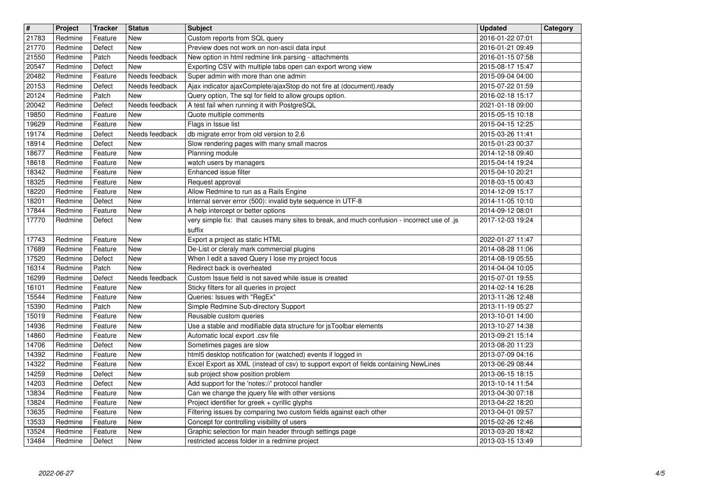| $\overline{\mathbf{H}}$ | Project            | <b>Tracker</b>     | <b>Status</b>            | <b>Subject</b>                                                                                                                                       | <b>Updated</b>                       | Category |
|-------------------------|--------------------|--------------------|--------------------------|------------------------------------------------------------------------------------------------------------------------------------------------------|--------------------------------------|----------|
| 21783<br>21770          | Redmine<br>Redmine | Feature<br>Defect  | New<br>New               | Custom reports from SQL query<br>Preview does not work on non-ascii data input                                                                       | 2016-01-22 07:01<br>2016-01-21 09:49 |          |
| 21550                   | Redmine<br>Redmine | Patch              | Needs feedback           | New option in html redmine link parsing - attachments                                                                                                | 2016-01-15 07:58                     |          |
| 20547<br>20482          | Redmine            | Defect<br>Feature  | New<br>Needs feedback    | Exporting CSV with multiple tabs open can export wrong view<br>Super admin with more than one admin                                                  | 2015-08-17 15:47<br>2015-09-04 04:00 |          |
| 20153                   | Redmine            | Defect             | Needs feedback           | Ajax indicator ajaxComplete/ajaxStop do not fire at (document).ready                                                                                 | 2015-07-22 01:59                     |          |
| 20124<br>20042          | Redmine<br>Redmine | Patch<br>Defect    | New<br>Needs feedback    | Query option, The sql for field to allow groups option.<br>A test fail when running it with PostgreSQL                                               | 2016-02-18 15:17<br>2021-01-18 09:00 |          |
| 19850                   | Redmine            | Feature            | New                      | Quote multiple comments                                                                                                                              | 2015-05-15 10:18                     |          |
| 19629<br>19174          | Redmine<br>Redmine | Feature<br>Defect  | New<br>Needs feedback    | Flags in Issue list<br>db migrate error from old version to 2.6                                                                                      | 2015-04-15 12:25<br>2015-03-26 11:41 |          |
| 18914                   | Redmine            | Defect             | New                      | Slow rendering pages with many small macros                                                                                                          | 2015-01-23 00:37                     |          |
| 18677<br>18618          | Redmine<br>Redmine | Feature<br>Feature | New<br><b>New</b>        | Planning module<br>watch users by managers                                                                                                           | 2014-12-18 09:40<br>2015-04-14 19:24 |          |
| 18342                   | Redmine            | Feature            | New                      | Enhanced issue filter                                                                                                                                | 2015-04-10 20:21                     |          |
| 18325<br>18220          | Redmine<br>Redmine | Feature<br>Feature | New<br><b>New</b>        | Request approval<br>Allow Redmine to run as a Rails Engine                                                                                           | 2018-03-15 00:43<br>2014-12-09 15:17 |          |
| 18201                   | Redmine            | Defect             | <b>New</b>               | Internal server error (500): invalid byte sequence in UTF-8                                                                                          | 2014-11-05 10:10                     |          |
| 17844<br>17770          | Redmine<br>Redmine | Feature<br>Defect  | New<br>New               | A help intercept or better options<br>very simple fix: that causes many sites to break, and much confusion - incorrect use of .js                    | 2014-09-12 08:01<br>2017-12-03 19:24 |          |
|                         |                    |                    |                          | suffix                                                                                                                                               |                                      |          |
| 17743<br>17689          | Redmine<br>Redmine | Feature<br>Feature | <b>New</b><br>New        | Export a project as static HTML<br>De-List or cleraly mark commercial plugins                                                                        | 2022-01-27 11:47<br>2014-08-28 11:06 |          |
| 17520                   | Redmine            | Defect             | New                      | When I edit a saved Query I lose my project focus                                                                                                    | 2014-08-19 05:55                     |          |
| 16314<br>16299          | Redmine<br>Redmine | Patch<br>Defect    | New<br>Needs feedback    | Redirect back is overheated<br>Custom Issue field is not saved while issue is created                                                                | 2014-04-04 10:05<br>2015-07-01 19:55 |          |
| 16101                   | Redmine            | Feature            | New                      | Sticky filters for all queries in project                                                                                                            | 2014-02-14 16:28                     |          |
| 15544<br>15390          | Redmine<br>Redmine | Feature<br>Patch   | New<br><b>New</b>        | Queries: Issues with "RegEx"<br>Simple Redmine Sub-directory Support                                                                                 | 2013-11-26 12:48<br>2013-11-19 05:27 |          |
| 15019                   | Redmine            | Feature            | <b>New</b>               | Reusable custom queries                                                                                                                              | 2013-10-01 14:00                     |          |
| 14936<br>14860          | Redmine<br>Redmine | Feature<br>Feature | <b>New</b><br><b>New</b> | Use a stable and modifiable data structure for jsToolbar elements<br>Automatic local export .csv file                                                | 2013-10-27 14:38<br>2013-09-21 15:14 |          |
| 14706                   | Redmine            | Defect             | New                      | Sometimes pages are slow                                                                                                                             | 2013-08-20 11:23                     |          |
| 14392<br>14322          | Redmine<br>Redmine | Feature<br>Feature | New<br>New               | html5 desktop notification for (watched) events if logged in<br>Excel Export as XML (instead of csv) to support export of fields containing NewLines | 2013-07-09 04:16<br>2013-06-29 08:44 |          |
| 14259                   | Redmine            | Defect             | New                      | sub project show position problem                                                                                                                    | 2013-06-15 18:15                     |          |
| 14203<br>13834          | Redmine<br>Redmine | Defect<br>Feature  | New<br>New               | Add support for the 'notes://' protocol handler<br>Can we change the jquery file with other versions                                                 | 2013-10-14 11:54<br>2013-04-30 07:18 |          |
| 13824                   | Redmine            | Feature            | New                      | Project identifier for greek + cyrillic glyphs                                                                                                       | 2013-04-22 18:20                     |          |
| 13635<br>13533          | Redmine<br>Redmine | Feature<br>Feature | New<br>New               | Filtering issues by comparing two custom fields against each other<br>Concept for controlling visibility of users                                    | 2013-04-01 09:57<br>2015-02-26 12:46 |          |
| 13524                   | Redmine            | Feature            | New                      | Graphic selection for main header through settings page                                                                                              | 2013-03-20 18:42                     |          |
| 13484                   | Redmine            | Defect             | New                      | restricted access folder in a redmine project                                                                                                        | 2013-03-15 13:49                     |          |
|                         |                    |                    |                          |                                                                                                                                                      |                                      |          |
|                         |                    |                    |                          |                                                                                                                                                      |                                      |          |
|                         |                    |                    |                          |                                                                                                                                                      |                                      |          |
|                         |                    |                    |                          |                                                                                                                                                      |                                      |          |
|                         |                    |                    |                          |                                                                                                                                                      |                                      |          |
|                         |                    |                    |                          |                                                                                                                                                      |                                      |          |
|                         |                    |                    |                          |                                                                                                                                                      |                                      |          |
|                         |                    |                    |                          |                                                                                                                                                      |                                      |          |